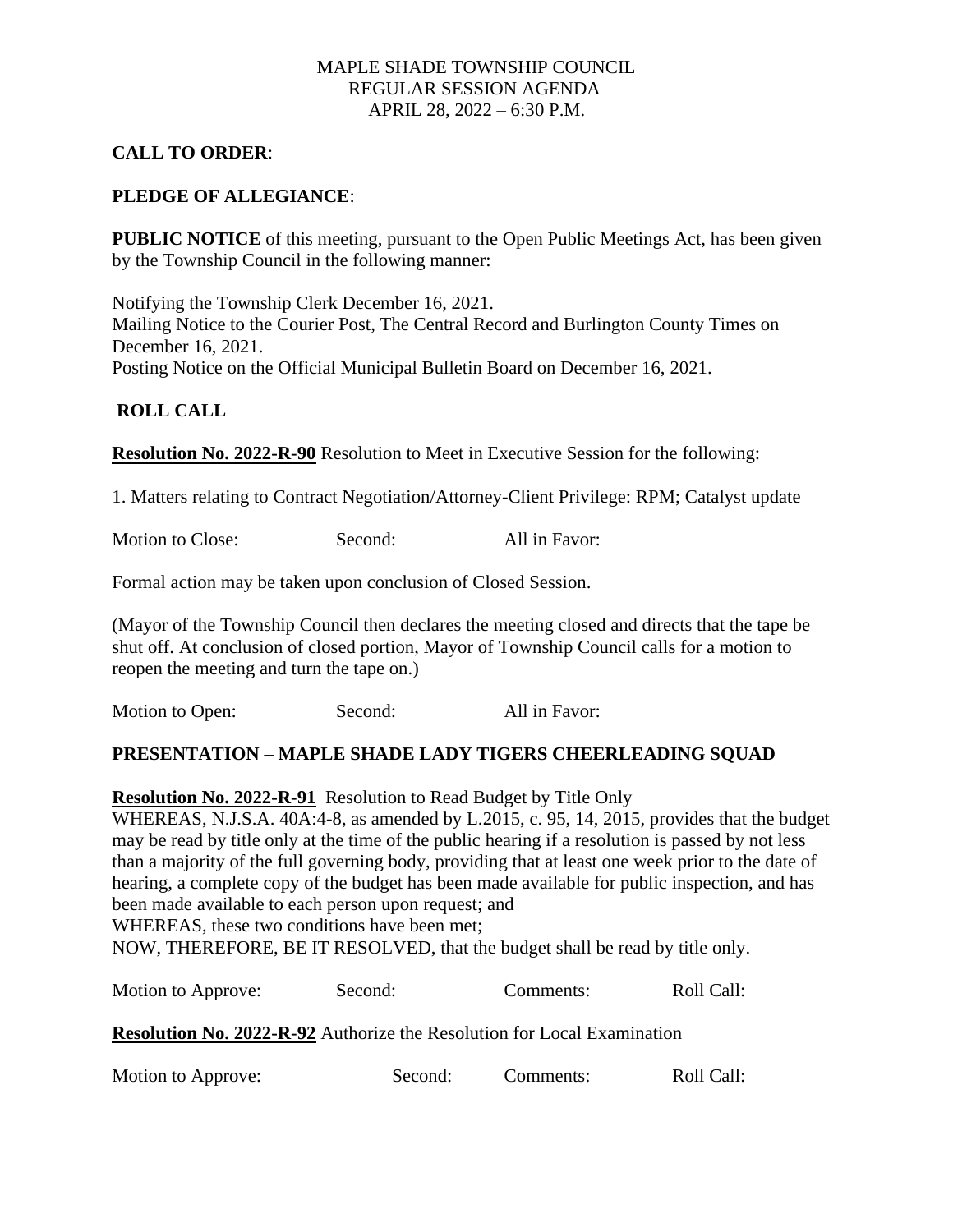### MAPLE SHADE TOWNSHIP COUNCIL REGULAR SESSION AGENDA APRIL 28, 2022 – 6:30 P.M.

## **CALL TO ORDER**:

### **PLEDGE OF ALLEGIANCE**:

**PUBLIC NOTICE** of this meeting, pursuant to the Open Public Meetings Act, has been given by the Township Council in the following manner:

Notifying the Township Clerk December 16, 2021. Mailing Notice to the Courier Post, The Central Record and Burlington County Times on December 16, 2021. Posting Notice on the Official Municipal Bulletin Board on December 16, 2021.

#### **ROLL CALL**

**Resolution No. 2022-R-90** Resolution to Meet in Executive Session for the following:

1. Matters relating to Contract Negotiation/Attorney-Client Privilege: RPM; Catalyst update

Motion to Close: Second: All in Favor:

Formal action may be taken upon conclusion of Closed Session.

(Mayor of the Township Council then declares the meeting closed and directs that the tape be shut off. At conclusion of closed portion, Mayor of Township Council calls for a motion to reopen the meeting and turn the tape on.)

Motion to Open: Second: All in Favor:

#### **PRESENTATION – MAPLE SHADE LADY TIGERS CHEERLEADING SQUAD**

**Resolution No. 2022-R-91** Resolution to Read Budget by Title Only

WHEREAS, N.J.S.A. 40A:4-8, as amended by L.2015, c. 95, 14, 2015, provides that the budget may be read by title only at the time of the public hearing if a resolution is passed by not less than a majority of the full governing body, providing that at least one week prior to the date of hearing, a complete copy of the budget has been made available for public inspection, and has been made available to each person upon request; and WHEREAS, these two conditions have been met;

NOW, THEREFORE, BE IT RESOLVED, that the budget shall be read by title only.

| Motion to Approve: | Second: | Comments: | Roll Call: |
|--------------------|---------|-----------|------------|
|--------------------|---------|-----------|------------|

**Resolution No. 2022-R-92** Authorize the Resolution for Local Examination

Motion to Approve: Second: Comments: Roll Call: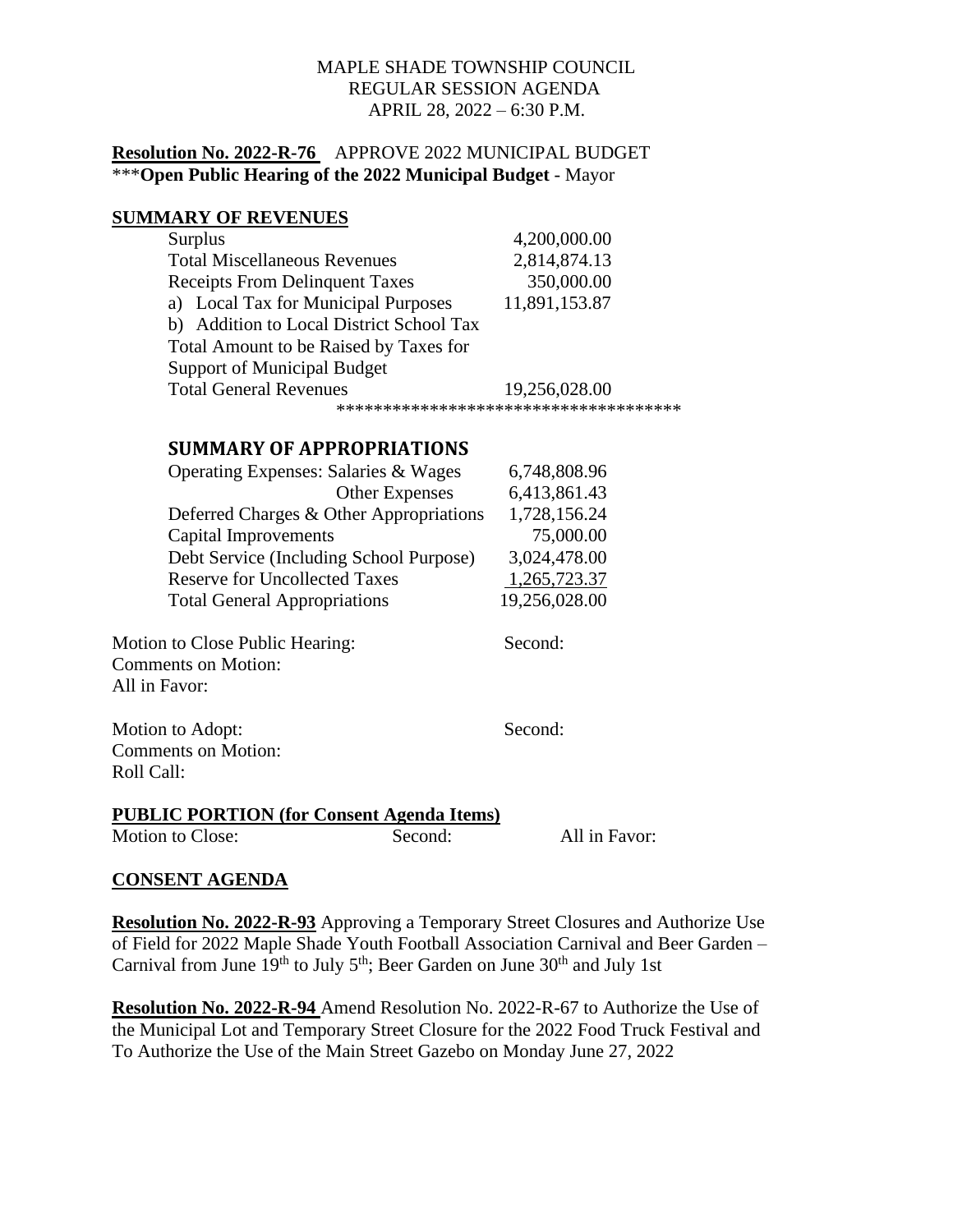## MAPLE SHADE TOWNSHIP COUNCIL REGULAR SESSION AGENDA APRIL 28, 2022 – 6:30 P.M.

## **Resolution No. 2022-R-76** APPROVE 2022 MUNICIPAL BUDGET \*\*\***Open Public Hearing of the 2022 Municipal Budget** - Mayor

## **SUMMARY OF REVENUES**

| <b>Surplus</b>                           | 4,200,000.00  |  |  |  |
|------------------------------------------|---------------|--|--|--|
| <b>Total Miscellaneous Revenues</b>      | 2,814,874.13  |  |  |  |
| <b>Receipts From Delinquent Taxes</b>    | 350,000.00    |  |  |  |
| a) Local Tax for Municipal Purposes      | 11,891,153.87 |  |  |  |
| b) Addition to Local District School Tax |               |  |  |  |
| Total Amount to be Raised by Taxes for   |               |  |  |  |
| <b>Support of Municipal Budget</b>       |               |  |  |  |
| <b>Total General Revenues</b>            | 19,256,028.00 |  |  |  |
| ************************************     |               |  |  |  |

# **SUMMARY OF APPROPRIATIONS**

| 6,748,808.96  |
|---------------|
| 6,413,861.43  |
| 1,728,156.24  |
| 75,000.00     |
| 3,024,478.00  |
| 1,265,723.37  |
| 19,256,028.00 |
|               |

Motion to Close Public Hearing: Second: Second: Comments on Motion: All in Favor:

Motion to Adopt: Second: Second: Comments on Motion: Roll Call:

**PUBLIC PORTION (for Consent Agenda Items)**

Motion to Close: Second: All in Favor:

# **CONSENT AGENDA**

**Resolution No. 2022-R-93** Approving a Temporary Street Closures and Authorize Use of Field for 2022 Maple Shade Youth Football Association Carnival and Beer Garden – Carnival from June  $19<sup>th</sup>$  to July  $5<sup>th</sup>$ ; Beer Garden on June  $30<sup>th</sup>$  and July 1st

**Resolution No. 2022-R-94** Amend Resolution No. 2022-R-67 to Authorize the Use of the Municipal Lot and Temporary Street Closure for the 2022 Food Truck Festival and To Authorize the Use of the Main Street Gazebo on Monday June 27, 2022